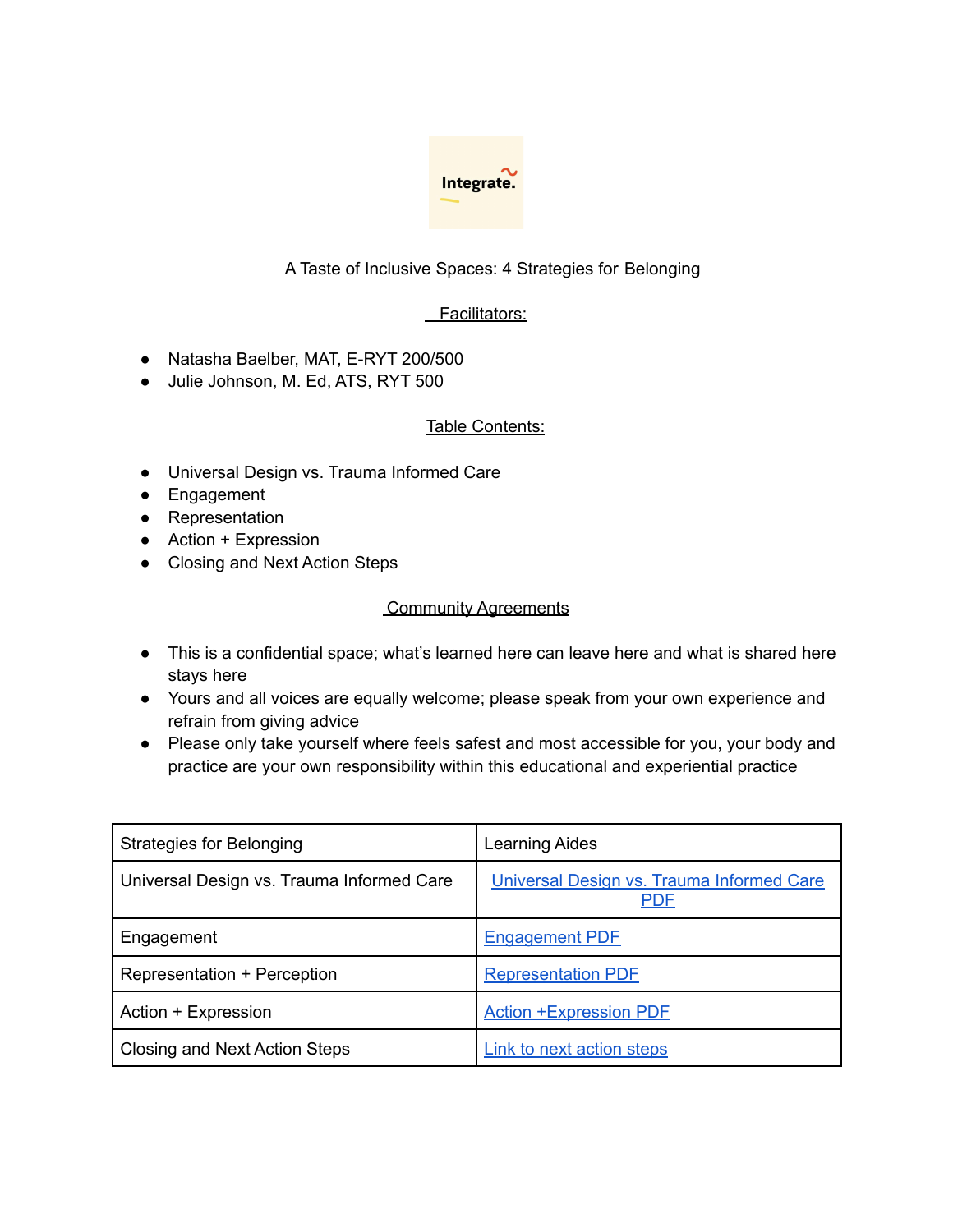

## A Taste of Inclusive Spaces: 4 Strategies for Belonging

## Facilitators:

- Natasha Baelber, MAT, E-RYT 200/500
- Julie Johnson, M. Ed, ATS, RYT 500

### Table Contents:

- Universal Design vs. Trauma Informed Care
- Engagement
- Representation
- Action + Expression
- Closing and Next Action Steps

#### **Community Agreements**

- This is a confidential space; what's learned here can leave here and what is shared here stays here
- Yours and all voices are equally welcome; please speak from your own experience and refrain from giving advice
- Please only take yourself where feels safest and most accessible for you, your body and practice are your own responsibility within this educational and experiential practice

| <b>Strategies for Belonging</b>           | <b>Learning Aides</b>                                   |
|-------------------------------------------|---------------------------------------------------------|
| Universal Design vs. Trauma Informed Care | Universal Design vs. Trauma Informed Care<br><b>PDF</b> |
| Engagement                                | <b>Engagement PDF</b>                                   |
| Representation + Perception               | <b>Representation PDF</b>                               |
| Action + Expression                       | <b>Action +Expression PDE</b>                           |
| Closing and Next Action Steps             | Link to next action steps                               |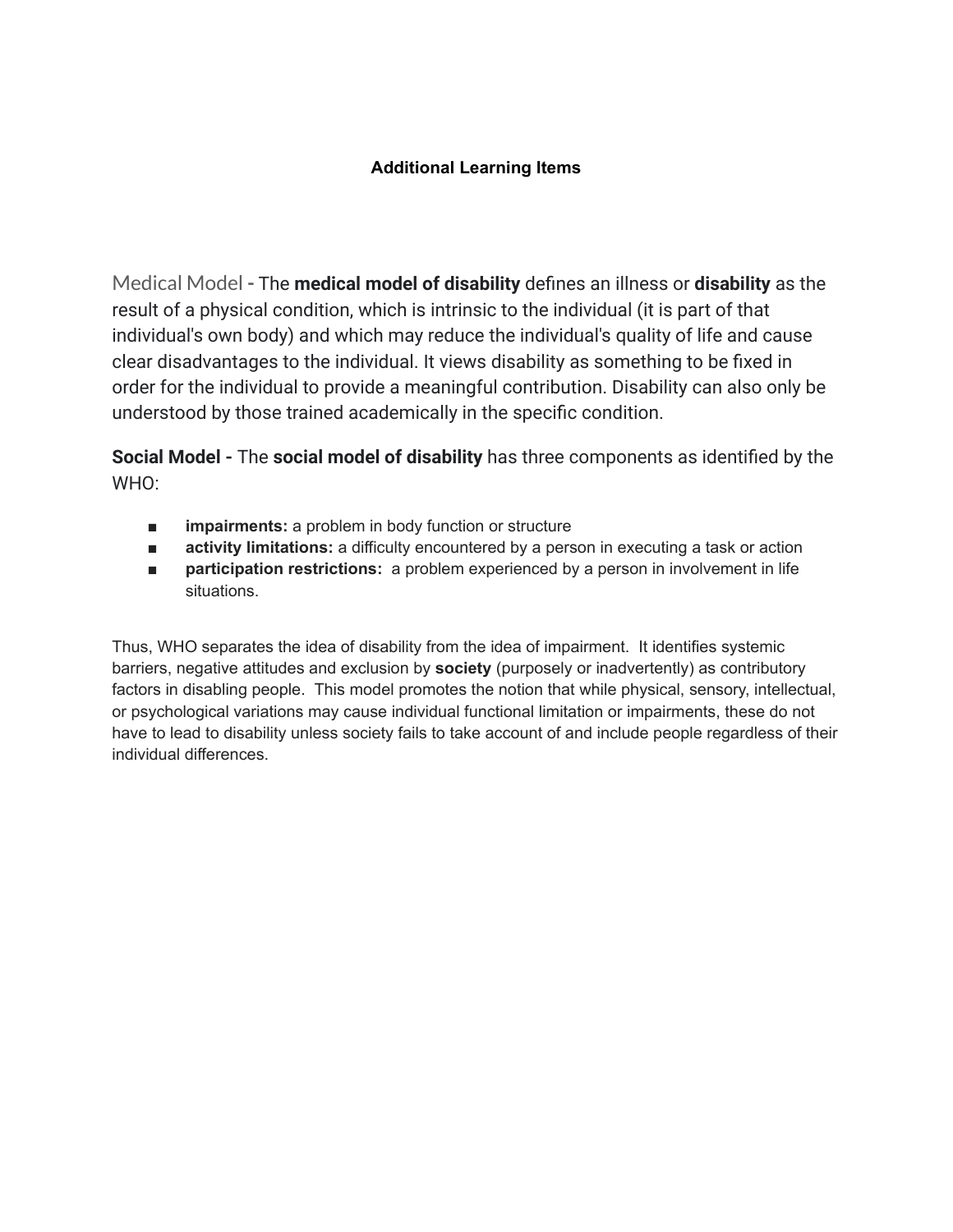## **Additional Learning Items**

Medical Model **-** The **medical model of disability** defines an illness or **disability** as the result of a physical condition, which is intrinsic to the individual (it is part of that individual's own body) and which may reduce the individual's quality of life and cause clear disadvantages to the individual. It views disability as something to be fixed in order for the individual to provide a meaningful contribution. Disability can also only be understood by those trained academically in the specific condition.

**Social Model -** The **social model of disability** has three components as identified by the WHO:

- **impairments:** a problem in body function or structure
- **activity limitations:** a difficulty encountered by a person in executing a task or action
- **participation restrictions:** a problem experienced by a person in involvement in life situations.

Thus, WHO separates the idea of disability from the idea of impairment. It identifies systemic barriers, negative attitudes and exclusion by **society** (purposely or inadvertently) as contributory factors in disabling people. This model promotes the notion that while physical, sensory, intellectual, or psychological variations may cause individual functional limitation or impairments, these do not have to lead to disability unless society fails to take account of and include people regardless of their individual differences.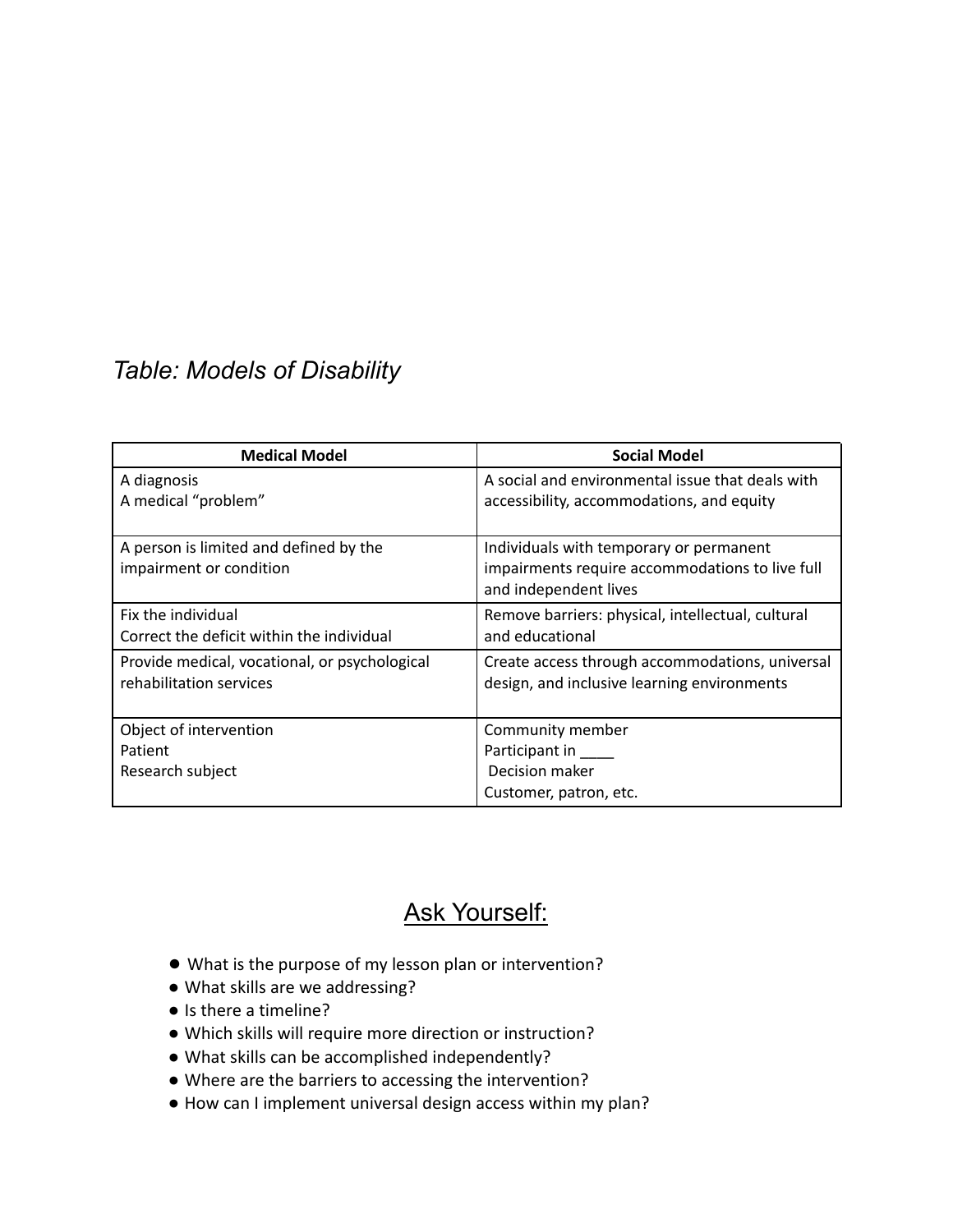# *Table: Models of Disability*

| <b>Medical Model</b>                          | <b>Social Model</b>                               |
|-----------------------------------------------|---------------------------------------------------|
| A diagnosis                                   | A social and environmental issue that deals with  |
| A medical "problem"                           | accessibility, accommodations, and equity         |
|                                               |                                                   |
| A person is limited and defined by the        | Individuals with temporary or permanent           |
| impairment or condition                       | impairments require accommodations to live full   |
|                                               | and independent lives                             |
| Fix the individual                            | Remove barriers: physical, intellectual, cultural |
| Correct the deficit within the individual     | and educational                                   |
| Provide medical, vocational, or psychological | Create access through accommodations, universal   |
| rehabilitation services                       | design, and inclusive learning environments       |
|                                               |                                                   |
| Object of intervention                        | Community member                                  |
| Patient                                       | Participant in                                    |
| Research subject                              | Decision maker                                    |
|                                               | Customer, patron, etc.                            |

## Ask Yourself:

- What is the purpose of my lesson plan or intervention?
- What skills are we addressing?
- Is there a timeline?
- Which skills will require more direction or instruction?
- What skills can be accomplished independently?
- Where are the barriers to accessing the intervention?
- How can I implement universal design access within my plan?